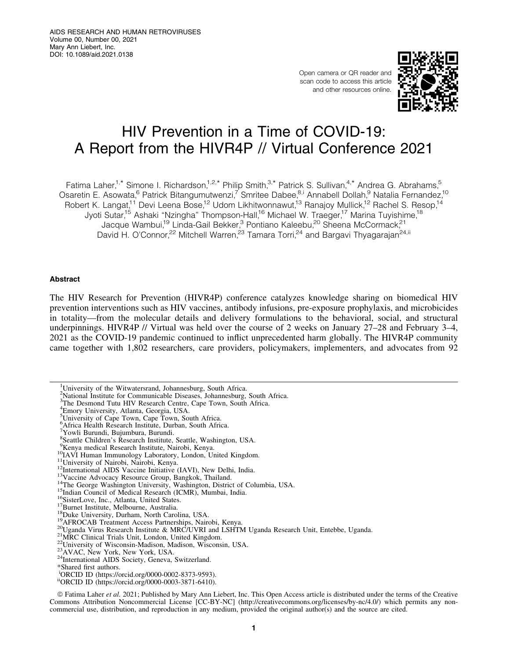Open camera or QR reader and scan code to access this article and other resources online.



# HIV Prevention in a Time of COVID-19: A Report from the HIVR4P // Virtual Conference 2021

Fatima Laher,<sup>1,\*</sup> Simone I. Richardson,<sup>1,2,\*</sup> Philip Smith,<sup>3,\*</sup> Patrick S. Sullivan,<sup>4,\*</sup> Andrea G. Abrahams,<sup>5</sup> Osaretin E. Asowata, <sup>6</sup> Patrick Bitangumutwenzi,<sup>7</sup> Smritee Dabee, <sup>8,i</sup> Annabell Dollah, 9 Natalia Fernandez, <sup>10</sup> Robert K. Langat,<sup>11</sup> Devi Leena Bose,<sup>12</sup> Udom Likhitwonnawut,<sup>13</sup> Ranajoy Mullick,<sup>12</sup> Rachel S. Resop,<sup>14</sup> Jyoti Sutar,<sup>15</sup> Ashaki "Nzingha" Thompson-Hall,<sup>16</sup> Michael W. Traeger,<sup>17</sup> Marina Tuyishime,<sup>18</sup> Jacque Wambui,<sup>19</sup> Linda-Gail Bekker,<sup>3</sup> Pontiano Kaleebu,<sup>20</sup> Sheena McCormack,<sup>21</sup> David H. O'Connor,<sup>22</sup> Mitchell Warren,<sup>23</sup> Tamara Torri,<sup>24</sup> and Bargavi Thyagarajan<sup>24,ii</sup>

# Abstract

The HIV Research for Prevention (HIVR4P) conference catalyzes knowledge sharing on biomedical HIV prevention interventions such as HIV vaccines, antibody infusions, pre-exposure prophylaxis, and microbicides in totality—from the molecular details and delivery formulations to the behavioral, social, and structural underpinnings. HIVR4P // Virtual was held over the course of 2 weeks on January 27–28 and February 3–4, 2021 as the COVID-19 pandemic continued to inflict unprecedented harm globally. The HIVR4P community came together with 1,802 researchers, care providers, policymakers, implementers, and advocates from 92

ª Fatima Laher *et al.* 2021; Published by Mary Ann Liebert, Inc. This Open Access article is distributed under the terms of the Creative Commons Attribution Noncommercial License [CC-BY-NC] [\(http://creativecommons.org/licenses/by-nc/4.0/\)](http://creativecommons.org/licenses/by-nc/4.0/) which permits any noncommercial use, distribution, and reproduction in any medium, provided the original author(s) and the source are cited.

<sup>&</sup>lt;sup>1</sup>University of the Witwatersrand, Johannesburg, South Africa.

<sup>&</sup>lt;sup>2</sup>National Institute for Communicable Diseases, Johannesburg, South Africa.

<sup>3</sup> The Desmond Tutu HIV Research Centre, Cape Town, South Africa.

<sup>4</sup> Emory University, Atlanta, Georgia, USA.

<sup>&</sup>lt;sup>5</sup>University of Cape Town, Cape Town, South Africa.

<sup>6</sup> Africa Health Research Institute, Durban, South Africa. 7 Yowli Burundi, Bujumbura, Burundi.

<sup>8</sup> Seattle Children's Research Institute, Seattle, Washington, USA.

<sup>&</sup>lt;sup>9</sup>Kenya medical Research Institute, Nairobi, Kenya.<br><sup>11</sup>University of Nairobi, Nairobi, Kenya.<br><sup>11</sup>University of Nairobi, Nairobi, Kenya.<br><sup>11</sup>University of Nairobi, Nairobi, Kenya.<br><sup>12</sup>International AIDS Vaccine Initiativ

<sup>&</sup>lt;sup>24</sup>International AIDS Society, Geneva, Switzerland.<br>\*Shared first authors.

i ORCID ID (<https://orcid.org/0000-0002-8373-9593>).

iiORCID ID (<https://orcid.org/0000-0003-3871-6410>).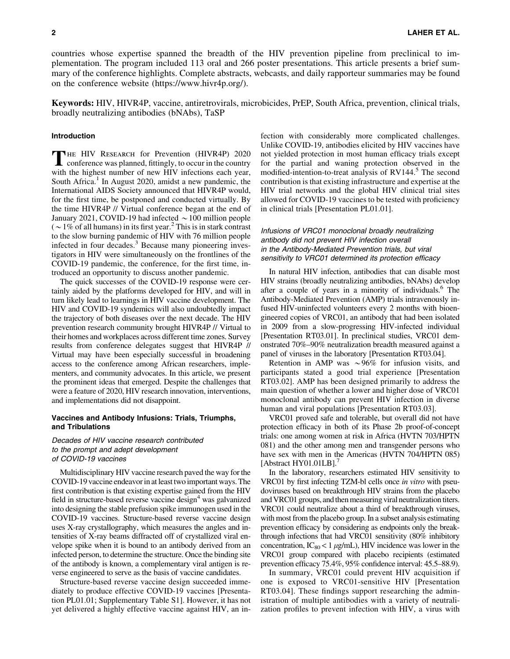countries whose expertise spanned the breadth of the HIV prevention pipeline from preclinical to implementation. The program included 113 oral and 266 poster presentations. This article presents a brief summary of the conference highlights. Complete abstracts, webcasts, and daily rapporteur summaries may be found on the conference website [\(https://www.hivr4p.org/\)](https://www.hivr4p.org/).

Keywords: HIV, HIVR4P, vaccine, antiretrovirals, microbicides, PrEP, South Africa, prevention, clinical trials, broadly neutralizing antibodies (bNAbs), TaSP

# Introduction

THE HIV RESEARCH for Prevention (HIVR4P) 2020<br>
conference was planned, fittingly, to occur in the country with the highest number of new HIV infections each year, South Africa.<sup>1</sup> In August 2020, amidst a new pandemic, the International AIDS Society announced that HIVR4P would, for the first time, be postponed and conducted virtually. By the time HIVR4P // Virtual conference began at the end of January 2021, COVID-19 had infected  $\sim$  100 million people ( $\sim$  1% of all humans) in its first year.<sup>2</sup> This is in stark contrast to the slow burning pandemic of HIV with 76 million people infected in four decades.<sup>3</sup> Because many pioneering investigators in HIV were simultaneously on the frontlines of the COVID-19 pandemic, the conference, for the first time, introduced an opportunity to discuss another pandemic.

The quick successes of the COVID-19 response were certainly aided by the platforms developed for HIV, and will in turn likely lead to learnings in HIV vaccine development. The HIV and COVID-19 syndemics will also undoubtedly impact the trajectory of both diseases over the next decade. The HIV prevention research community brought HIVR4P // Virtual to their homes and workplaces across different time zones. Survey results from conference delegates suggest that HIVR4P // Virtual may have been especially successful in broadening access to the conference among African researchers, implementers, and community advocates. In this article, we present the prominent ideas that emerged. Despite the challenges that were a feature of 2020, HIV research innovation, interventions, and implementations did not disappoint.

## Vaccines and Antibody Infusions: Trials, Triumphs, and Tribulations

# Decades of HIV vaccine research contributed to the prompt and adept development of COVID-19 vaccines

Multidisciplinary HIV vaccine research paved the way for the COVID-19 vaccine endeavor in at least two important ways. The first contribution is that existing expertise gained from the HIV field in structure-based reverse vaccine design $4$  was galvanized into designing the stable prefusion spike immunogen used in the COVID-19 vaccines. Structure-based reverse vaccine design uses X-ray crystallography, which measures the angles and intensities of X-ray beams diffracted off of crystallized viral envelope spike when it is bound to an antibody derived from an infected person, to determine the structure. Once the binding site of the antibody is known, a complementary viral antigen is reverse engineered to serve as the basis of vaccine candidates.

Structure-based reverse vaccine design succeeded immediately to produce effective COVID-19 vaccines [Presentation PL01.01; Supplementary Table S1]. However, it has not yet delivered a highly effective vaccine against HIV, an infection with considerably more complicated challenges. Unlike COVID-19, antibodies elicited by HIV vaccines have not yielded protection in most human efficacy trials except for the partial and waning protection observed in the modified-intention-to-treat analysis of RV144.<sup>5</sup> The second contribution is that existing infrastructure and expertise at the HIV trial networks and the global HIV clinical trial sites allowed for COVID-19 vaccines to be tested with proficiency in clinical trials [Presentation PL01.01].

# Infusions of VRC01 monoclonal broadly neutralizing antibody did not prevent HIV infection overall in the Antibody-Mediated Prevention trials, but viral sensitivity to VRC01 determined its protection efficacy

In natural HIV infection, antibodies that can disable most HIV strains (broadly neutralizing antibodies, bNAbs) develop after a couple of years in a minority of individuals.<sup>6</sup> The Antibody-Mediated Prevention (AMP) trials intravenously infused HIV-uninfected volunteers every 2 months with bioengineered copies of VRC01, an antibody that had been isolated in 2009 from a slow-progressing HIV-infected individual [Presentation RT03.01]. In preclinical studies, VRC01 demonstrated 70%–90% neutralization breadth measured against a panel of viruses in the laboratory [Presentation RT03.04].

Retention in AMP was  $\sim$ 96% for infusion visits, and participants stated a good trial experience [Presentation RT03.02]. AMP has been designed primarily to address the main question of whether a lower and higher dose of VRC01 monoclonal antibody can prevent HIV infection in diverse human and viral populations [Presentation RT03.03].

VRC01 proved safe and tolerable, but overall did not have protection efficacy in both of its Phase 2b proof-of-concept trials: one among women at risk in Africa (HVTN 703/HPTN 081) and the other among men and transgender persons who have sex with men in the Americas (HVTN 704/HPTN 085) [Abstract HY01.01LB]. $'$ 

In the laboratory, researchers estimated HIV sensitivity to VRC01 by first infecting TZM-bl cells once *in vitro* with pseudoviruses based on breakthrough HIV strains from the placebo and VRC01 groups, and then measuring viral neutralization titers. VRC01 could neutralize about a third of breakthrough viruses, with most from the placebo group. In a subset analysis estimating prevention efficacy by considering as endpoints only the breakthrough infections that had VRC01 sensitivity (80% inhibitory concentration,  $IC_{80}$  < 1  $\mu$ g/mL), HIV incidence was lower in the VRC01 group compared with placebo recipients (estimated prevention efficacy 75.4%, 95% confidence interval: 45.5–88.9).

In summary, VRC01 could prevent HIV acquisition if one is exposed to VRC01-sensitive HIV [Presentation RT03.04]. These findings support researching the administration of multiple antibodies with a variety of neutralization profiles to prevent infection with HIV, a virus with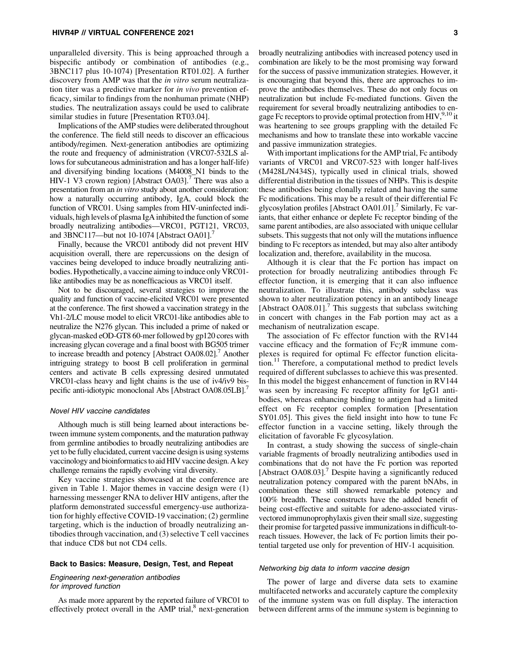#### HIVR4P // VIRTUAL CONFERENCE 2021 3

unparalleled diversity. This is being approached through a bispecific antibody or combination of antibodies (e.g., 3BNC117 plus 10-1074) [Presentation RT01.02]. A further discovery from AMP was that the *in vitro* serum neutralization titer was a predictive marker for *in vivo* prevention efficacy, similar to findings from the nonhuman primate (NHP) studies. The neutralization assays could be used to calibrate similar studies in future [Presentation RT03.04].

Implications of the AMP studies were deliberated throughout the conference. The field still needs to discover an efficacious antibody/regimen. Next-generation antibodies are optimizing the route and frequency of administration (VRC07-532LS allows for subcutaneous administration and has a longer half-life) and diversifying binding locations (M4008\_N1 binds to the HIV-1 V3 crown region) [Abstract OA03]. $'$  There was also a presentation from an *in vitro* study about another consideration: how a naturally occurring antibody, IgA, could block the function of VRC01. Using samples from HIV-uninfected individuals, high levels of plasma IgA inhibited the function of some broadly neutralizing antibodies—VRC01, PGT121, VRC03, and 3BNC117—but not 10-1074 [Abstract OA01].<sup>7</sup>

Finally, because the VRC01 antibody did not prevent HIV acquisition overall, there are repercussions on the design of vaccines being developed to induce broadly neutralizing antibodies. Hypothetically, a vaccine aiming to induce only VRC01 like antibodies may be as nonefficacious as VRC01 itself.

Not to be discouraged, several strategies to improve the quality and function of vaccine-elicited VRC01 were presented at the conference. The first showed a vaccination strategy in the Vh1-2/LC mouse model to elicit VRC01-like antibodies able to neutralize the N276 glycan. This included a prime of naked or glycan-masked eOD-GT8 60-mer followed by gp120 cores with increasing glycan coverage and a final boost with BG505 trimer to increase breadth and potency [Abstract OA08.02].<sup>7</sup> Another intriguing strategy to boost B cell proliferation in germinal centers and activate B cells expressing desired unmutated VRC01-class heavy and light chains is the use of iv4/iv9 bispecific anti-idiotypic monoclonal Abs [Abstract OA08.05LB].

## Novel HIV vaccine candidates

Although much is still being learned about interactions between immune system components, and the maturation pathway from germline antibodies to broadly neutralizing antibodies are yet to be fully elucidated, current vaccine design is using systems vaccinology and bioinformatics to aid HIV vaccine design. A key challenge remains the rapidly evolving viral diversity.

Key vaccine strategies showcased at the conference are given in Table 1. Major themes in vaccine design were (1) harnessing messenger RNA to deliver HIV antigens, after the platform demonstrated successful emergency-use authorization for highly effective COVID-19 vaccination; (2) germline targeting, which is the induction of broadly neutralizing antibodies through vaccination, and (3) selective T cell vaccines that induce CD8 but not CD4 cells.

## Back to Basics: Measure, Design, Test, and Repeat

# Engineering next-generation antibodies for improved function

As made more apparent by the reported failure of VRC01 to effectively protect overall in the AMP trial,<sup>8</sup> next-generation broadly neutralizing antibodies with increased potency used in combination are likely to be the most promising way forward for the success of passive immunization strategies. However, it is encouraging that beyond this, there are approaches to improve the antibodies themselves. These do not only focus on neutralization but include Fc-mediated functions. Given the requirement for several broadly neutralizing antibodies to engage Fc receptors to provide optimal protection from HIV,  $9,10$  it was heartening to see groups grappling with the detailed Fc mechanisms and how to translate these into workable vaccine and passive immunization strategies.

With important implications for the AMP trial, Fc antibody variants of VRC01 and VRC07-523 with longer half-lives (M428L/N434S), typically used in clinical trials, showed differential distribution in the tissues of NHPs. This is despite these antibodies being clonally related and having the same Fc modifications. This may be a result of their differential Fc glycosylation profiles [Abstract OA01.01]. $\prime$  Similarly, Fc variants, that either enhance or deplete Fc receptor binding of the same parent antibodies, are also associated with unique cellular subsets. This suggests that not only will the mutations influence binding to Fc receptors as intended, but may also alter antibody localization and, therefore, availability in the mucosa.

Although it is clear that the Fc portion has impact on protection for broadly neutralizing antibodies through Fc effector function, it is emerging that it can also influence neutralization. To illustrate this, antibody subclass was shown to alter neutralization potency in an antibody lineage [Abstract OA08.01].<sup>7</sup> This suggests that subclass switching in concert with changes in the Fab portion may act as a mechanism of neutralization escape.

The association of Fc effector function with the RV144 vaccine efficacy and the formation of  $Fc\gamma R$  immune complexes is required for optimal Fc effector function elicitation.<sup>11</sup> Therefore, a computational method to predict levels required of different subclasses to achieve this was presented. In this model the biggest enhancement of function in RV144 was seen by increasing Fc receptor affinity for IgG1 antibodies, whereas enhancing binding to antigen had a limited effect on Fc receptor complex formation [Presentation SY01.05]. This gives the field insight into how to tune Fc effector function in a vaccine setting, likely through the elicitation of favorable Fc glycosylation.

In contrast, a study showing the success of single-chain variable fragments of broadly neutralizing antibodies used in combinations that do not have the Fc portion was reported [Abstract OA08.03].<sup>7</sup> Despite having a significantly reduced neutralization potency compared with the parent bNAbs, in combination these still showed remarkable potency and 100% breadth. These constructs have the added benefit of being cost-effective and suitable for adeno-associated virusvectored immunoprophylaxis given their small size, suggesting their promise for targeted passive immunizations in difficult-toreach tissues. However, the lack of Fc portion limits their potential targeted use only for prevention of HIV-1 acquisition.

#### Networking big data to inform vaccine design

The power of large and diverse data sets to examine multifaceted networks and accurately capture the complexity of the immune system was on full display. The interaction between different arms of the immune system is beginning to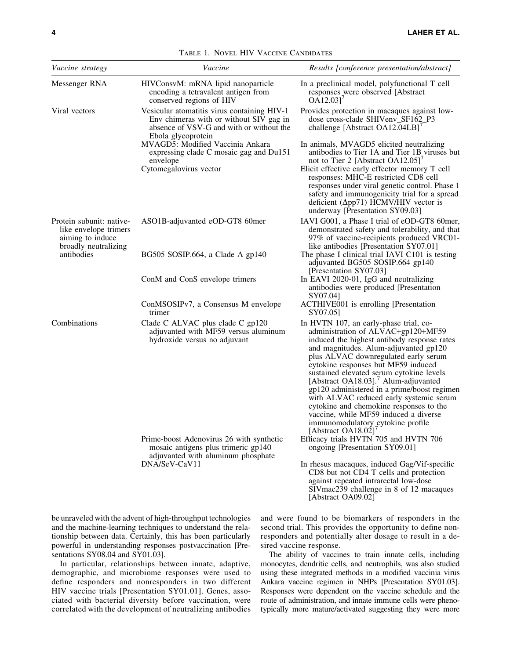| <i>Vaccine strategy</i>                                                                                     | Vaccine                                                                                                                                                  | Results [conference presentation/abstract]                                                                                                                                                                                                                                                                                                                                                                                                                                                                                                                                                   |
|-------------------------------------------------------------------------------------------------------------|----------------------------------------------------------------------------------------------------------------------------------------------------------|----------------------------------------------------------------------------------------------------------------------------------------------------------------------------------------------------------------------------------------------------------------------------------------------------------------------------------------------------------------------------------------------------------------------------------------------------------------------------------------------------------------------------------------------------------------------------------------------|
| Messenger RNA                                                                                               | HIVConsvM: mRNA lipid nanoparticle<br>encoding a tetravalent antigen from<br>conserved regions of HIV                                                    | In a preclinical model, polyfunctional T cell<br>responses were observed [Abstract<br>$OA12.03$ <sup>'</sup>                                                                                                                                                                                                                                                                                                                                                                                                                                                                                 |
| Viral vectors                                                                                               | Vesicular atomatitis virus containing HIV-1<br>Env chimeras with or without SIV gag in<br>absence of VSV-G and with or without the<br>Ebola glycoprotein | Provides protection in macaques against low-<br>dose cross-clade SHIVenv_SF162_P3<br>challenge [Abstract OA12.04LB]'                                                                                                                                                                                                                                                                                                                                                                                                                                                                         |
|                                                                                                             | MVAGD5: Modified Vaccinia Ankara<br>expressing clade C mosaic gag and Du151<br>envelope                                                                  | In animals, MVAGD5 elicited neutralizing<br>antibodies to Tier 1A and Tier 1B viruses but<br>not to Tier 2 [Abstract OA12.05]'                                                                                                                                                                                                                                                                                                                                                                                                                                                               |
|                                                                                                             | Cytomegalovirus vector                                                                                                                                   | Elicit effective early effector memory T cell<br>responses: MHC-E restricted CD8 cell<br>responses under viral genetic control. Phase 1<br>safety and immunogenicity trial for a spread<br>deficient ( $\Delta$ pp71) HCMV/HIV vector is<br>underway [Presentation SY09.03]                                                                                                                                                                                                                                                                                                                  |
| Protein subunit: native-<br>like envelope trimers<br>aiming to induce<br>broadly neutralizing<br>antibodies | ASO1B-adjuvanted eOD-GT8 60mer                                                                                                                           | IAVI G001, a Phase I trial of eOD-GT8 60mer,<br>demonstrated safety and tolerability, and that<br>97% of vaccine-recipients produced VRC01-<br>like antibodies [Presentation SY07.01]                                                                                                                                                                                                                                                                                                                                                                                                        |
|                                                                                                             | BG505 SOSIP.664, a Clade A gp140                                                                                                                         | The phase I clinical trial IAVI C101 is testing<br>adjuvanted BG505 SOSIP.664 gp140<br>[Presentation SY07.03]                                                                                                                                                                                                                                                                                                                                                                                                                                                                                |
|                                                                                                             | ConM and ConS envelope trimers                                                                                                                           | In EAVI 2020-01, IgG and neutralizing<br>antibodies were produced [Presentation]<br>SY07.04]                                                                                                                                                                                                                                                                                                                                                                                                                                                                                                 |
|                                                                                                             | ConMSOSIPv7, a Consensus M envelope<br>trimer                                                                                                            | ACTHIVE001 is enrolling [Presentation<br>SY07.05]                                                                                                                                                                                                                                                                                                                                                                                                                                                                                                                                            |
| Combinations                                                                                                | Clade C ALVAC plus clade C gp120<br>adjuvanted with MF59 versus aluminum<br>hydroxide versus no adjuvant                                                 | In HVTN 107, an early-phase trial, co-<br>administration of ALVAC+gp120+MF59<br>induced the highest antibody response rates<br>and magnitudes. Alum-adjuvanted gp120<br>plus ALVAC downregulated early serum<br>cytokine responses but MF59 induced<br>sustained elevated serum cytokine levels<br>[Abstract OA18.03]. <sup>7</sup> Alum-adjuvanted<br>gp120 administered in a prime/boost regimen<br>with ALVAC reduced early systemic serum<br>cytokine and chemokine responses to the<br>vaccine, while MF59 induced a diverse<br>immunomodulatory cytokine profile<br>[Abstract OA18.02] |
|                                                                                                             | Prime-boost Adenovirus 26 with synthetic<br>mosaic antigens plus trimeric gp140<br>adjuvanted with aluminum phosphate<br>DNA/SeV-CaV11                   | Efficacy trials HVTN 705 and HVTN 706<br>ongoing [Presentation SY09.01]                                                                                                                                                                                                                                                                                                                                                                                                                                                                                                                      |
|                                                                                                             |                                                                                                                                                          | In rhesus macaques, induced Gag/Vif-specific<br>CD8 but not CD4 T cells and protection<br>against repeated intrarectal low-dose<br>SIVmac239 challenge in 8 of 12 macaques<br>[Abstract OA09.02]                                                                                                                                                                                                                                                                                                                                                                                             |

Table 1. Novel HIV Vaccine Candidates

be unraveled with the advent of high-throughput technologies and the machine-learning techniques to understand the relationship between data. Certainly, this has been particularly powerful in understanding responses postvaccination [Presentations SY08.04 and SY01.03].

In particular, relationships between innate, adaptive, demographic, and microbiome responses were used to define responders and nonresponders in two different HIV vaccine trials [Presentation SY01.01]. Genes, associated with bacterial diversity before vaccination, were correlated with the development of neutralizing antibodies and were found to be biomarkers of responders in the second trial. This provides the opportunity to define nonresponders and potentially alter dosage to result in a desired vaccine response.

The ability of vaccines to train innate cells, including monocytes, dendritic cells, and neutrophils, was also studied using these integrated methods in a modified vaccinia virus Ankara vaccine regimen in NHPs [Presentation SY01.03]. Responses were dependent on the vaccine schedule and the route of administration, and innate immune cells were phenotypically more mature/activated suggesting they were more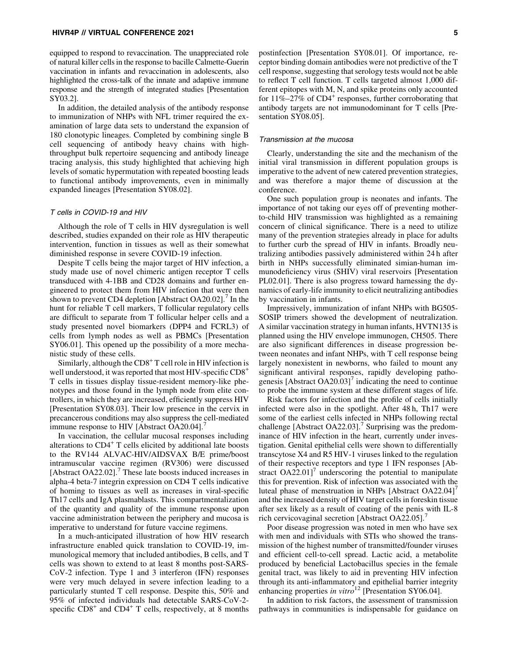#### HIVR4P // VIRTUAL CONFERENCE 2021 5

equipped to respond to revaccination. The unappreciated role of natural killer cells in the response to bacille Calmette-Guerin vaccination in infants and revaccination in adolescents, also highlighted the cross-talk of the innate and adaptive immune response and the strength of integrated studies [Presentation SY03.2].

In addition, the detailed analysis of the antibody response to immunization of NHPs with NFL trimer required the examination of large data sets to understand the expansion of 180 clonotypic lineages. Completed by combining single B cell sequencing of antibody heavy chains with highthroughput bulk repertoire sequencing and antibody lineage tracing analysis, this study highlighted that achieving high levels of somatic hypermutation with repeated boosting leads to functional antibody improvements, even in minimally expanded lineages [Presentation SY08.02].

#### T cells in COVID-19 and HIV

Although the role of T cells in HIV dysregulation is well described, studies expanded on their role as HIV therapeutic intervention, function in tissues as well as their somewhat diminished response in severe COVID-19 infection.

Despite T cells being the major target of HIV infection, a study made use of novel chimeric antigen receptor T cells transduced with 4-1BB and CD28 domains and further engineered to protect them from HIV infection that were then shown to prevent CD4 depletion [Abstract OA20.02].<sup>7</sup> In the hunt for reliable T cell markers, T follicular regulatory cells are difficult to separate from T follicular helper cells and a study presented novel biomarkers (DPP4 and FCRL3) of cells from lymph nodes as well as PBMCs [Presentation SY06.01]. This opened up the possibility of a more mechanistic study of these cells.

Similarly, although the  $CD8<sup>+</sup>$  T cell role in HIV infection is well understood, it was reported that most HIV-specific CD8<sup>+</sup> T cells in tissues display tissue-resident memory-like phenotypes and those found in the lymph node from elite controllers, in which they are increased, efficiently suppress HIV [Presentation SY08.03]. Their low presence in the cervix in precancerous conditions may also suppress the cell-mediated immune response to HIV [Abstract OA20.04].<sup>7</sup>

In vaccination, the cellular mucosal responses including alterations to  $CD4^+$  T cells elicited by additional late boosts to the RV144 ALVAC-HIV/AIDSVAX B/E prime/boost intramuscular vaccine regimen (RV306) were discussed [Abstract OA22.02].<sup>7</sup> These late boosts induced increases in alpha-4 beta-7 integrin expression on CD4 T cells indicative of homing to tissues as well as increases in viral-specific Th17 cells and IgA plasmablasts. This compartmentalization of the quantity and quality of the immune response upon vaccine administration between the periphery and mucosa is imperative to understand for future vaccine regimens.

In a much-anticipated illustration of how HIV research infrastructure enabled quick translation to COVID-19, immunological memory that included antibodies, B cells, and T cells was shown to extend to at least 8 months post-SARS-CoV-2 infection. Type 1 and 3 interferon (IFN) responses were very much delayed in severe infection leading to a particularly stunted T cell response. Despite this, 50% and 95% of infected individuals had detectable SARS-CoV-2 specific  $CD8<sup>+</sup>$  and  $CD4<sup>+</sup>$  T cells, respectively, at 8 months postinfection [Presentation SY08.01]. Of importance, receptor binding domain antibodies were not predictive of the T cell response, suggesting that serology tests would not be able to reflect T cell function. T cells targeted almost 1,000 different epitopes with M, N, and spike proteins only accounted for  $11\% - 27\%$  of CD4<sup>+</sup> responses, further corroborating that antibody targets are not immunodominant for T cells [Presentation SY08.05].

## Transmission at the mucosa

Clearly, understanding the site and the mechanism of the initial viral transmission in different population groups is imperative to the advent of new catered prevention strategies, and was therefore a major theme of discussion at the conference.

One such population group is neonates and infants. The importance of not taking our eyes off of preventing motherto-child HIV transmission was highlighted as a remaining concern of clinical significance. There is a need to utilize many of the prevention strategies already in place for adults to further curb the spread of HIV in infants. Broadly neutralizing antibodies passively administered within 24 h after birth in NHPs successfully eliminated simian-human immunodeficiency virus (SHIV) viral reservoirs [Presentation PL02.01]. There is also progress toward harnessing the dynamics of early-life immunity to elicit neutralizing antibodies by vaccination in infants.

Impressively, immunization of infant NHPs with BG505- SOSIP trimers showed the development of neutralization. A similar vaccination strategy in human infants, HVTN135 is planned using the HIV envelope immunogen, CH505. There are also significant differences in disease progression between neonates and infant NHPs, with T cell response being largely nonexistent in newborns, who failed to mount any significant antiviral responses, rapidly developing pathogenesis  $[A\text{bstructor OA20.03}]^7$  indicating the need to continue to probe the immune system at these different stages of life.

Risk factors for infection and the profile of cells initially infected were also in the spotlight. After 48 h, Th17 were some of the earliest cells infected in NHPs following rectal challenge [Abstract OA22.03].<sup>7</sup> Surprising was the predominance of HIV infection in the heart, currently under investigation. Genital epithelial cells were shown to differentially transcytose X4 and R5 HIV-1 viruses linked to the regulation of their respective receptors and type 1 IFN responses [Abstract  $OA22.01$ <sup> $\prime$ </sup> underscoring the potential to manipulate this for prevention. Risk of infection was associated with the luteal phase of menstruation in NHPs  $[Abstract OA22.04]$ and the increased density of HIV target cells in foreskin tissue after sex likely as a result of coating of the penis with IL-8 rich cervicovaginal secretion [Abstract OA22.05].<sup>7</sup>

Poor disease progression was noted in men who have sex with men and individuals with STIs who showed the transmission of the highest number of transmitted/founder viruses and efficient cell-to-cell spread. Lactic acid, a metabolite produced by beneficial Lactobacillus species in the female genital tract, was likely to aid in preventing HIV infection through its anti-inflammatory and epithelial barrier integrity enhancing properties *in vitro*<sup>12</sup> [Presentation SY06.04].

In addition to risk factors, the assessment of transmission pathways in communities is indispensable for guidance on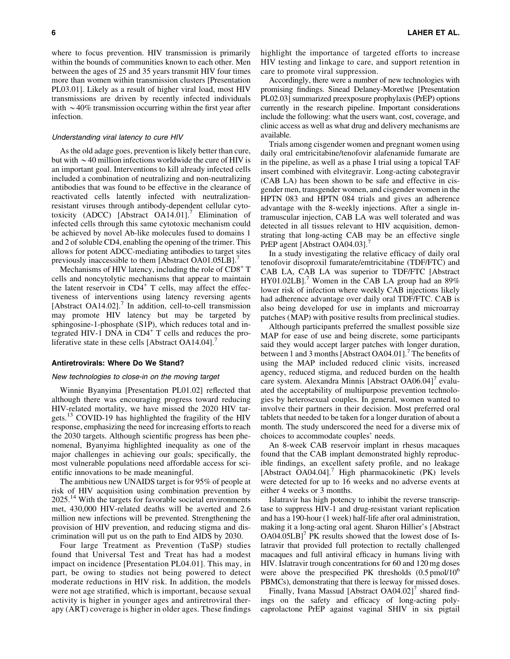where to focus prevention. HIV transmission is primarily within the bounds of communities known to each other. Men between the ages of 25 and 35 years transmit HIV four times more than women within transmission clusters [Presentation PL03.01]. Likely as a result of higher viral load, most HIV transmissions are driven by recently infected individuals with  $\sim$  40% transmission occurring within the first year after infection.

## Understanding viral latency to cure HIV

As the old adage goes, prevention is likely better than cure, but with  $\sim$  40 million infections worldwide the cure of HIV is an important goal. Interventions to kill already infected cells included a combination of neutralizing and non-neutralizing antibodies that was found to be effective in the clearance of reactivated cells latently infected with neutralizationresistant viruses through antibody-dependent cellular cytotoxicity (ADCC) [Abstract OA14.01].<sup>7</sup> Elimination of infected cells through this same cytotoxic mechanism could be achieved by novel Ab-like molecules fused to domains 1 and 2 of soluble CD4, enabling the opening of the trimer. This allows for potent ADCC-mediating antibodies to target sites previously inaccessible to them [Abstract OA01.05LB].<sup>7</sup>

Mechanisms of HIV latency, including the role of  $CD8<sup>+</sup> T$ cells and noncytolytic mechanisms that appear to maintain the latent reservoir in  $CD4^+$  T cells, may affect the effectiveness of interventions using latency reversing agents [Abstract OA14.02].<sup>7</sup> In addition, cell-to-cell transmission may promote HIV latency but may be targeted by sphingosine-1-phosphate (S1P), which reduces total and integrated HIV-1 DNA in  $CD4^+$  T cells and reduces the proliferative state in these cells [Abstract OA14.04]. $^{7}$ 

#### Antiretrovirals: Where Do We Stand?

#### New technologies to close-in on the moving target

Winnie Byanyima [Presentation PL01.02] reflected that although there was encouraging progress toward reducing HIV-related mortality, we have missed the 2020 HIV targets.<sup>13</sup> COVID-19 has highlighted the fragility of the HIV response, emphasizing the need for increasing efforts to reach the 2030 targets. Although scientific progress has been phenomenal, Byanyima highlighted inequality as one of the major challenges in achieving our goals; specifically, the most vulnerable populations need affordable access for scientific innovations to be made meaningful.

The ambitious new UNAIDS target is for 95% of people at risk of HIV acquisition using combination prevention by  $2025.<sup>14</sup>$  With the targets for favorable societal environments met, 430,000 HIV-related deaths will be averted and 2.6 million new infections will be prevented. Strengthening the provision of HIV prevention, and reducing stigma and discrimination will put us on the path to End AIDS by 2030.

Four large Treatment as Prevention (TaSP) studies found that Universal Test and Treat has had a modest impact on incidence [Presentation PL04.01]. This may, in part, be owing to studies not being powered to detect moderate reductions in HIV risk. In addition, the models were not age stratified, which is important, because sexual activity is higher in younger ages and antiretroviral therapy (ART) coverage is higher in older ages. These findings

6 LAHER ET AL.

highlight the importance of targeted efforts to increase HIV testing and linkage to care, and support retention in care to promote viral suppression.

Accordingly, there were a number of new technologies with promising findings. Sinead Delaney-Moretlwe [Presentation PL02.03] summarized preexposure prophylaxis (PrEP) options currently in the research pipeline. Important considerations include the following: what the users want, cost, coverage, and clinic access as well as what drug and delivery mechanisms are available.

Trials among cisgender women and pregnant women using daily oral emtricitabine/tenofovir alafenamide fumarate are in the pipeline, as well as a phase I trial using a topical TAF insert combined with elvitegravir. Long-acting cabotegravir (CAB LA) has been shown to be safe and effective in cisgender men, transgender women, and cisgender women in the HPTN 083 and HPTN 084 trials and gives an adherence advantage with the 8-weekly injections. After a single intramuscular injection, CAB LA was well tolerated and was detected in all tissues relevant to HIV acquisition, demonstrating that long-acting CAB may be an effective single PrEP agent [Abstract OA04.03].<sup>7</sup>

In a study investigating the relative efficacy of daily oral tenofovir disoproxil fumarate/emtricitabine (TDF/FTC) and CAB LA, CAB LA was superior to TDF/FTC [Abstract  $HY01.02LB$ ].<sup>7</sup> Women in the CAB LA group had an  $89\%$ lower risk of infection where weekly CAB injections likely had adherence advantage over daily oral TDF/FTC. CAB is also being developed for use in implants and microarray patches (MAP) with positive results from preclinical studies.

Although participants preferred the smallest possible size MAP for ease of use and being discrete, some participants said they would accept larger patches with longer duration, between 1 and 3 months [Abstract OA04.01].<sup>7</sup> The benefits of using the MAP included reduced clinic visits, increased agency, reduced stigma, and reduced burden on the health care system. Alexandra Minnis [Abstract  $OA06.04$ ]<sup>7</sup> evaluated the acceptability of multipurpose prevention technologies by heterosexual couples. In general, women wanted to involve their partners in their decision. Most preferred oral tablets that needed to be taken for a longer duration of about a month. The study underscored the need for a diverse mix of choices to accommodate couples' needs.

An 8-week CAB reservoir implant in rhesus macaques found that the CAB implant demonstrated highly reproducible findings, an excellent safety profile, and no leakage [Abstract OA04.04].<sup>7</sup> High pharmacokinetic (PK) levels were detected for up to 16 weeks and no adverse events at either 4 weeks or 3 months.

Islatravir has high potency to inhibit the reverse transcriptase to suppress HIV-1 and drug-resistant variant replication and has a 190-hour (1 week) half-life after oral administration, making it a long-acting oral agent. Sharon Hillier's [Abstract  $OA04.05LB'$  PK results showed that the lowest dose of Islatravir that provided full protection to rectally challenged macaques and full antiviral efficacy in humans living with HIV. Islatravir trough concentrations for 60 and 120 mg doses were above the prespecified PK thresholds  $(0.5 \text{ pmol}/10^6)$ PBMCs), demonstrating that there is leeway for missed doses.

Finally, Ivana Massud [Abstract  $OA04.02$ ]<sup> $\prime$ </sup> shared findings on the safety and efficacy of long-acting polycaprolactone PrEP against vaginal SHIV in six pigtail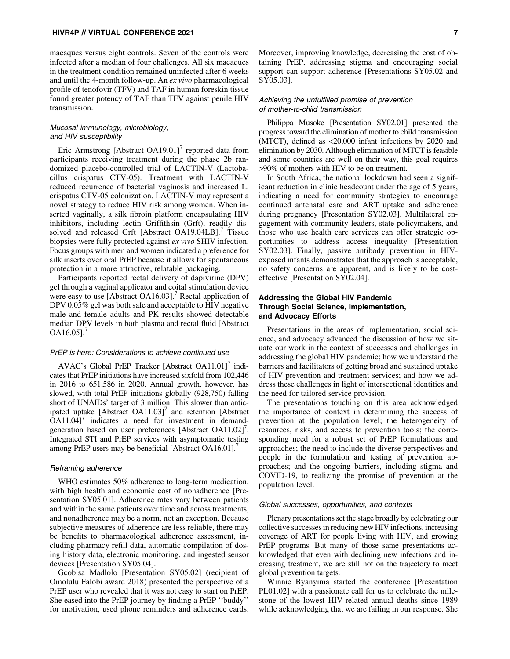macaques versus eight controls. Seven of the controls were infected after a median of four challenges. All six macaques in the treatment condition remained uninfected after 6 weeks and until the 4-month follow-up. An *ex vivo* pharmacological profile of tenofovir (TFV) and TAF in human foreskin tissue found greater potency of TAF than TFV against penile HIV transmission.

# Mucosal immunology, microbiology, and HIV susceptibility

Eric Armstrong [Abstract  $OA19.01$ ]<sup>7</sup> reported data from participants receiving treatment during the phase 2b randomized placebo-controlled trial of LACTIN-V (Lactobacillus crispatus CTV-05). Treatment with LACTIN-V reduced recurrence of bacterial vaginosis and increased L. crispatus CTV-05 colonization. LACTIN-V may represent a novel strategy to reduce HIV risk among women. When inserted vaginally, a silk fibroin platform encapsulating HIV inhibitors, including lectin Griffithsin (Grft), readily dissolved and released Grft [Abstract OA19.04LB].<sup>7</sup> Tissue biopsies were fully protected against *ex vivo* SHIV infection. Focus groups with men and women indicated a preference for silk inserts over oral PrEP because it allows for spontaneous protection in a more attractive, relatable packaging.

Participants reported rectal delivery of dapivirine (DPV) gel through a vaginal applicator and coital stimulation device were easy to use [Abstract OA16.03].<sup>7</sup> Rectal application of DPV 0.05% gel was both safe and acceptable to HIV negative male and female adults and PK results showed detectable median DPV levels in both plasma and rectal fluid [Abstract  $OA16.05$ ].

## PrEP is here: Considerations to achieve continued use

AVAC's Global PrEP Tracker [Abstract OA11.01] $'$  indicates that PrEP initiations have increased sixfold from 102,446 in 2016 to 651,586 in 2020. Annual growth, however, has slowed, with total PrEP initiations globally (928,750) falling short of UNAIDs' target of 3 million. This slower than anticipated uptake  $[Abstract OA11.03]$ <sup>7</sup> and retention  $[Abstract$  $OA11.04$ <sup>7</sup> indicates a need for investment in demandgeneration based on user preferences [Abstract OA11.02]<sup>7</sup>. Integrated STI and PrEP services with asymptomatic testing among PrEP users may be beneficial [Abstract OA16.01].<sup>7</sup>

#### Reframing adherence

WHO estimates 50% adherence to long-term medication, with high health and economic cost of nonadherence [Presentation SY05.01]. Adherence rates vary between patients and within the same patients over time and across treatments, and nonadherence may be a norm, not an exception. Because subjective measures of adherence are less reliable, there may be benefits to pharmacological adherence assessment, including pharmacy refill data, automatic compilation of dosing history data, electronic monitoring, and ingested sensor devices [Presentation SY05.04].

Gcobisa Madlolo [Presentation SY05.02] (recipient of Omolulu Falobi award 2018) presented the perspective of a PrEP user who revealed that it was not easy to start on PrEP. She eased into the PrEP journey by finding a PrEP ''buddy'' for motivation, used phone reminders and adherence cards.

Moreover, improving knowledge, decreasing the cost of obtaining PrEP, addressing stigma and encouraging social support can support adherence [Presentations SY05.02 and SY05.03].

## Achieving the unfulfilled promise of prevention of mother-to-child transmission

Philippa Musoke [Presentation SY02.01] presented the progress toward the elimination of mother to child transmission (MTCT), defined as <20,000 infant infections by 2020 and elimination by 2030. Although elimination of MTCT is feasible and some countries are well on their way, this goal requires >90% of mothers with HIV to be on treatment.

In South Africa, the national lockdown had seen a significant reduction in clinic headcount under the age of 5 years, indicating a need for community strategies to encourage continued antenatal care and ART uptake and adherence during pregnancy [Presentation SY02.03]. Multilateral engagement with community leaders, state policymakers, and those who use health care services can offer strategic opportunities to address access inequality [Presentation SY02.03]. Finally, passive antibody prevention in HIVexposed infants demonstrates that the approach is acceptable, no safety concerns are apparent, and is likely to be costeffective [Presentation SY02.04].

# Addressing the Global HIV Pandemic Through Social Science, Implementation, and Advocacy Efforts

Presentations in the areas of implementation, social science, and advocacy advanced the discussion of how we situate our work in the context of successes and challenges in addressing the global HIV pandemic; how we understand the barriers and facilitators of getting broad and sustained uptake of HIV prevention and treatment services; and how we address these challenges in light of intersectional identities and the need for tailored service provision.

The presentations touching on this area acknowledged the importance of context in determining the success of prevention at the population level; the heterogeneity of resources, risks, and access to prevention tools; the corresponding need for a robust set of PrEP formulations and approaches; the need to include the diverse perspectives and people in the formulation and testing of prevention approaches; and the ongoing barriers, including stigma and COVID-19, to realizing the promise of prevention at the population level.

#### Global successes, opportunities, and contexts

Plenary presentations set the stage broadly by celebrating our collective successes in reducing new HIV infections, increasing coverage of ART for people living with HIV, and growing PrEP programs. But many of those same presentations acknowledged that even with declining new infections and increasing treatment, we are still not on the trajectory to meet global prevention targets.

Winnie Byanyima started the conference [Presentation PL01.02] with a passionate call for us to celebrate the milestone of the lowest HIV-related annual deaths since 1989 while acknowledging that we are failing in our response. She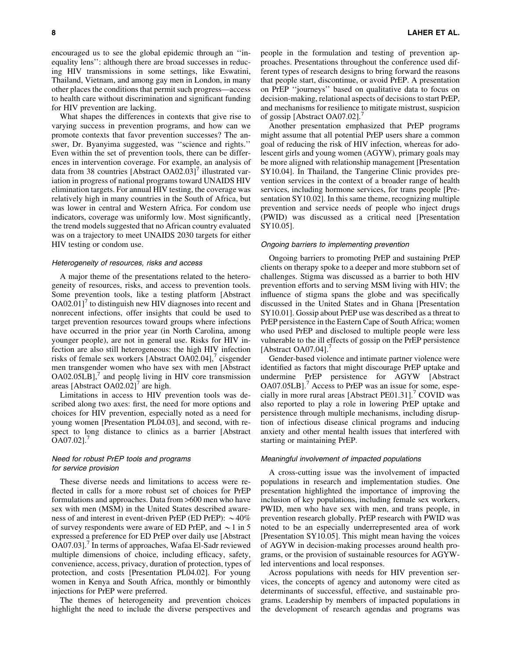encouraged us to see the global epidemic through an ''inequality lens'': although there are broad successes in reducing HIV transmissions in some settings, like Eswatini, Thailand, Vietnam, and among gay men in London, in many other places the conditions that permit such progress—access to health care without discrimination and significant funding for HIV prevention are lacking.

What shapes the differences in contexts that give rise to varying success in prevention programs, and how can we promote contexts that favor prevention successes? The answer, Dr. Byanyima suggested, was ''science and rights.'' Even within the set of prevention tools, there can be differences in intervention coverage. For example, an analysis of data from 38 countries [Abstract  $OA02.03$ ]' illustrated variation in progress of national programs toward UNAIDS HIV elimination targets. For annual HIV testing, the coverage was relatively high in many countries in the South of Africa, but was lower in central and Western Africa. For condom use indicators, coverage was uniformly low. Most significantly, the trend models suggested that no African country evaluated was on a trajectory to meet UNAIDS 2030 targets for either HIV testing or condom use.

# Heterogeneity of resources, risks and access

A major theme of the presentations related to the heterogeneity of resources, risks, and access to prevention tools. Some prevention tools, like a testing platform [Abstract  $OA02.01$ <sup> $\prime$ </sup> to distinguish new HIV diagnoses into recent and nonrecent infections, offer insights that could be used to target prevention resources toward groups where infections have occurred in the prior year (in North Carolina, among younger people), are not in general use. Risks for HIV infection are also still heterogeneous: the high HIV infection risks of female sex workers [Abstract OA02.04], $\prime$  cisgender men transgender women who have sex with men [Abstract  $OA02.05LB$ ],<sup>7</sup> and people living in HIV core transmission areas [Abstract OA02.02]<sup>7</sup> are high.

Limitations in access to HIV prevention tools was described along two axes: first, the need for more options and choices for HIV prevention, especially noted as a need for young women [Presentation PL04.03], and second, with respect to long distance to clinics as a barrier [Abstract  $OA07.02$ ].

## Need for robust PrEP tools and programs for service provision

These diverse needs and limitations to access were reflected in calls for a more robust set of choices for PrEP formulations and approaches. Data from >600 men who have sex with men (MSM) in the United States described awareness of and interest in event-driven PrEP (ED PrEP):  $\sim$  40% of survey respondents were aware of ED PrEP, and  $\sim$  1 in 5 expressed a preference for ED PrEP over daily use [Abstract OA07.03].<sup>7</sup> In terms of approaches, Wafaa El-Sadr reviewed multiple dimensions of choice, including efficacy, safety, convenience, access, privacy, duration of protection, types of protection, and costs [Presentation PL04.02]. For young women in Kenya and South Africa, monthly or bimonthly injections for PrEP were preferred.

The themes of heterogeneity and prevention choices highlight the need to include the diverse perspectives and people in the formulation and testing of prevention approaches. Presentations throughout the conference used different types of research designs to bring forward the reasons that people start, discontinue, or avoid PrEP. A presentation on PrEP ''journeys'' based on qualitative data to focus on decision-making, relational aspects of decisions to start PrEP, and mechanisms for resilience to mitigate mistrust, suspicion of gossip [Abstract OA07.02].

Another presentation emphasized that PrEP programs might assume that all potential PrEP users share a common goal of reducing the risk of HIV infection, whereas for adolescent girls and young women (AGYW), primary goals may be more aligned with relationship management [Presentation SY10.04]. In Thailand, the Tangerine Clinic provides prevention services in the context of a broader range of health services, including hormone services, for trans people [Presentation SY10.02]. In this same theme, recognizing multiple prevention and service needs of people who inject drugs (PWID) was discussed as a critical need [Presentation SY10.05].

#### Ongoing barriers to implementing prevention

Ongoing barriers to promoting PrEP and sustaining PrEP clients on therapy spoke to a deeper and more stubborn set of challenges. Stigma was discussed as a barrier to both HIV prevention efforts and to serving MSM living with HIV; the influence of stigma spans the globe and was specifically discussed in the United States and in Ghana [Presentation SY10.01]. Gossip about PrEP use was described as a threat to PrEP persistence in the Eastern Cape of South Africa; women who used PrEP and disclosed to multiple people were less vulnerable to the ill effects of gossip on the PrEP persistence [Abstract OA07.04].<sup>7</sup>

Gender-based violence and intimate partner violence were identified as factors that might discourage PrEP uptake and undermine PrEP persistence for AGYW [Abstract OA07.05LB].<sup>7</sup> Access to PrEP was an issue for some, especially in more rural areas [Abstract PE01.31].<sup>7</sup> COVID was also reported to play a role in lowering PrEP uptake and persistence through multiple mechanisms, including disruption of infectious disease clinical programs and inducing anxiety and other mental health issues that interfered with starting or maintaining PrEP.

#### Meaningful involvement of impacted populations

A cross-cutting issue was the involvement of impacted populations in research and implementation studies. One presentation highlighted the importance of improving the inclusion of key populations, including female sex workers, PWID, men who have sex with men, and trans people, in prevention research globally. PrEP research with PWID was noted to be an especially underrepresented area of work [Presentation SY10.05]. This might mean having the voices of AGYW in decision-making processes around health programs, or the provision of sustainable resources for AGYWled interventions and local responses.

Across populations with needs for HIV prevention services, the concepts of agency and autonomy were cited as determinants of successful, effective, and sustainable programs. Leadership by members of impacted populations in the development of research agendas and programs was